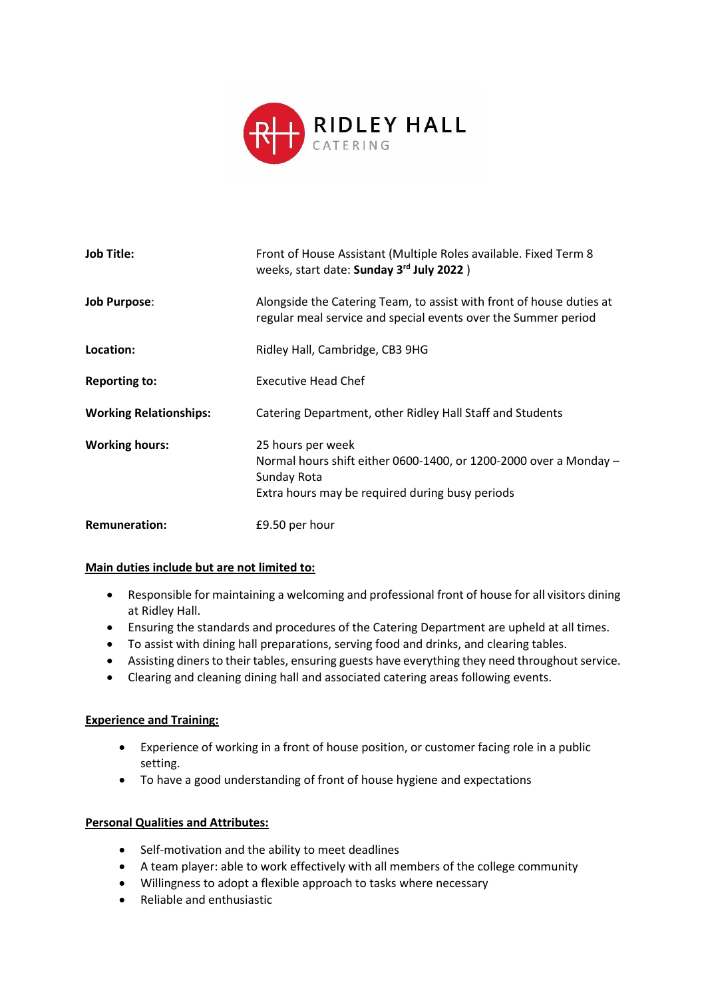

| <b>Job Title:</b>             | Front of House Assistant (Multiple Roles available. Fixed Term 8<br>weeks, start date: Sunday 3rd July 2022)                                             |
|-------------------------------|----------------------------------------------------------------------------------------------------------------------------------------------------------|
| <b>Job Purpose:</b>           | Alongside the Catering Team, to assist with front of house duties at<br>regular meal service and special events over the Summer period                   |
| Location:                     | Ridley Hall, Cambridge, CB3 9HG                                                                                                                          |
| <b>Reporting to:</b>          | <b>Executive Head Chef</b>                                                                                                                               |
| <b>Working Relationships:</b> | Catering Department, other Ridley Hall Staff and Students                                                                                                |
| <b>Working hours:</b>         | 25 hours per week<br>Normal hours shift either 0600-1400, or 1200-2000 over a Monday -<br>Sunday Rota<br>Extra hours may be required during busy periods |
| <b>Remuneration:</b>          | £9.50 per hour                                                                                                                                           |

### **Main duties include but are not limited to:**

- Responsible for maintaining a welcoming and professional front of house for all visitors dining at Ridley Hall.
- Ensuring the standards and procedures of the Catering Department are upheld at all times.
- To assist with dining hall preparations, serving food and drinks, and clearing tables.
- Assisting diners to their tables, ensuring guests have everything they need throughout service.
- Clearing and cleaning dining hall and associated catering areas following events.

### **Experience and Training:**

- Experience of working in a front of house position, or customer facing role in a public setting.
- To have a good understanding of front of house hygiene and expectations

### **Personal Qualities and Attributes:**

- Self-motivation and the ability to meet deadlines
- A team player: able to work effectively with all members of the college community
- Willingness to adopt a flexible approach to tasks where necessary
- Reliable and enthusiastic